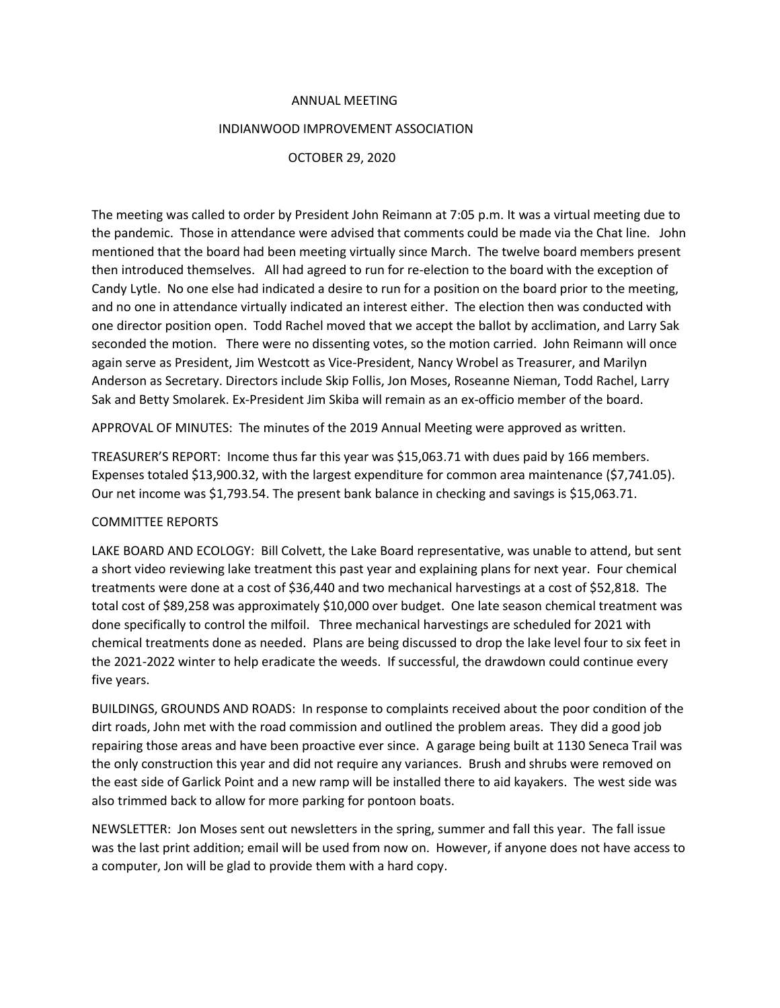## ANNUAL MEETING

## INDIANWOOD IMPROVEMENT ASSOCIATION

## OCTOBER 29, 2020

The meeting was called to order by President John Reimann at 7:05 p.m. It was a virtual meeting due to the pandemic. Those in attendance were advised that comments could be made via the Chat line. John mentioned that the board had been meeting virtually since March. The twelve board members present then introduced themselves. All had agreed to run for re-election to the board with the exception of Candy Lytle. No one else had indicated a desire to run for a position on the board prior to the meeting, and no one in attendance virtually indicated an interest either. The election then was conducted with one director position open. Todd Rachel moved that we accept the ballot by acclimation, and Larry Sak seconded the motion. There were no dissenting votes, so the motion carried. John Reimann will once again serve as President, Jim Westcott as Vice-President, Nancy Wrobel as Treasurer, and Marilyn Anderson as Secretary. Directors include Skip Follis, Jon Moses, Roseanne Nieman, Todd Rachel, Larry Sak and Betty Smolarek. Ex-President Jim Skiba will remain as an ex-officio member of the board.

APPROVAL OF MINUTES: The minutes of the 2019 Annual Meeting were approved as written.

TREASURER'S REPORT: Income thus far this year was \$15,063.71 with dues paid by 166 members. Expenses totaled \$13,900.32, with the largest expenditure for common area maintenance (\$7,741.05). Our net income was \$1,793.54. The present bank balance in checking and savings is \$15,063.71.

## COMMITTEE REPORTS

LAKE BOARD AND ECOLOGY: Bill Colvett, the Lake Board representative, was unable to attend, but sent a short video reviewing lake treatment this past year and explaining plans for next year. Four chemical treatments were done at a cost of \$36,440 and two mechanical harvestings at a cost of \$52,818. The total cost of \$89,258 was approximately \$10,000 over budget. One late season chemical treatment was done specifically to control the milfoil. Three mechanical harvestings are scheduled for 2021 with chemical treatments done as needed. Plans are being discussed to drop the lake level four to six feet in the 2021-2022 winter to help eradicate the weeds. If successful, the drawdown could continue every five years.

BUILDINGS, GROUNDS AND ROADS: In response to complaints received about the poor condition of the dirt roads, John met with the road commission and outlined the problem areas. They did a good job repairing those areas and have been proactive ever since. A garage being built at 1130 Seneca Trail was the only construction this year and did not require any variances. Brush and shrubs were removed on the east side of Garlick Point and a new ramp will be installed there to aid kayakers. The west side was also trimmed back to allow for more parking for pontoon boats.

NEWSLETTER: Jon Moses sent out newsletters in the spring, summer and fall this year. The fall issue was the last print addition; email will be used from now on. However, if anyone does not have access to a computer, Jon will be glad to provide them with a hard copy.